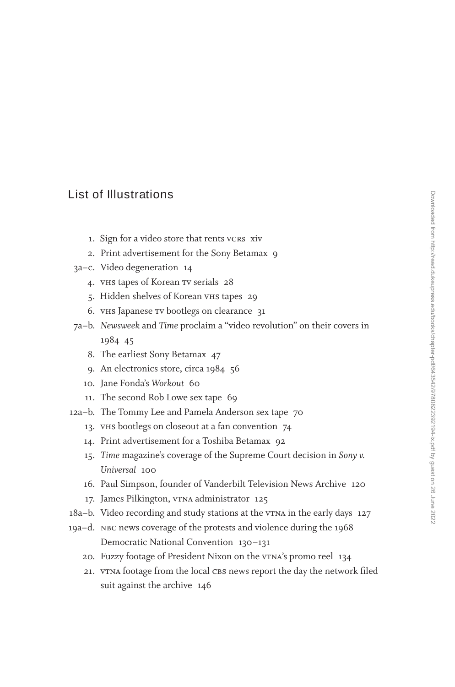## **List of Illustrations**

- 1. Sign for a video store that rents vcrs xiv
- 2. Print advertisement for the Sony Betamax 9
- 3a–c. Video degeneration 14
	- 4. vhs tapes of Korean tv serials 28
	- 5. Hidden shelves of Korean vhs tapes 29
	- 6. vhs Japanese tv bootlegs on clearance 31
- 7a–b. *Newsweek* and *Time* proclaim a "video revolution" on their covers in 1984 45
	- 8. The earliest Sony Betamax 47
	- 9. An electronics store, circa 1984 56
	- 10. Jane Fonda's *Workout* 60
	- 11. The second Rob Lowe sex tape 69
- 12a–b. The Tommy Lee and Pamela Anderson sex tape 70
	- 13. vhs bootlegs on closeout at a fan convention 74
	- 14. Print advertisement for a Toshiba Betamax 92
	- 15. *Time* magazine's coverage of the Supreme Court decision in *Sony v. Universal* 100
	- 16. Paul Simpson, founder of Vanderbilt Television News Archive 120
	- 17. James Pilkington, v<sup>TNA</sup> administrator 125
- 18a–b. Video recording and study stations at the vTNA in the early days 127
- 19a–d. nbc news coverage of the protests and violence during the 1968 Democratic National Convention 130–131
	- 20. Fuzzy footage of President Nixon on the vTNA's promo reel 134
	- 21. VTNA footage from the local CBS news report the day the network filed suit against the archive 146